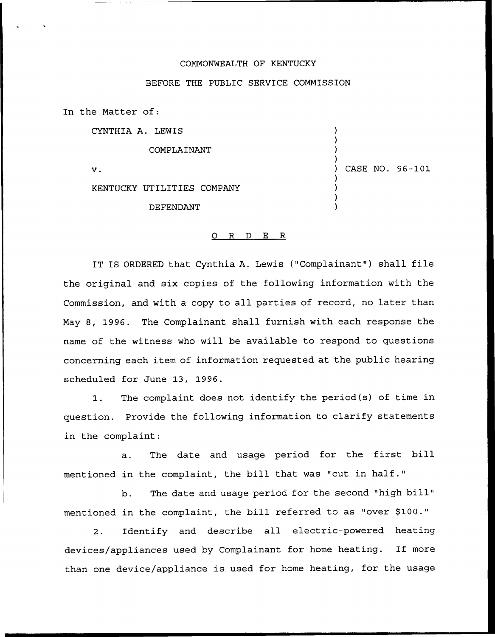## COMMONWEALTH OF KENTUCKY

### BEFORE THE PUBLIC SERVICE COMMISSION

In the Matter of:

CYNTHIA A. LEWIS

COMPLAINANT

 $\mathbf v$ .

) CASE NO. 96-101

) ) ) )

> ) ) ) )

KENTUCKY UTILITIES COMPANY

DEFENDANT

#### 0 R <sup>D</sup> E R

IT IS ORDERED that Cynthia A. Lewis ("Complainant" ) shall file the original and six copies of the following information with the Commission, and with a copy to all parties of record, no later than May 8, 1996. The Complainant shall furnish with each response the name of the witness who will be available to respond to questions concerning each item of information requested at the public hearing scheduled for June 13, 1996.

1. The complaint does not identify the period(s) of time in question. Provide the following information to clarify statements in the complaint:

a. The date and usage period for the first bill mentioned in the complaint, the bill that was "cut in half."

b. The date and usage period for the second "high bill" mentioned in the complaint, the bill referred to as "over \$100."

 $2.$ Identify and describe all electric-powered heating devices/appliances used by Complainant for home heating. If more than one device/appliance is used for home heating, for the usage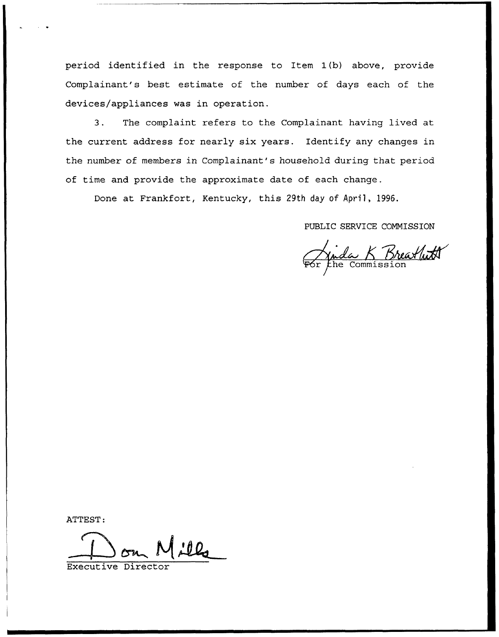period identified in the response to Item 1(b) above, provide Complainant's best estimate of the number of days each of the devices/appliances was in operation.

3. The complaint refers to the Complainant having lived at the current address for nearly six years. Identify any changes in the number of members in Complainant's household during that period of time and provide the approximate date of each change.

Done at Frankfort, Kentucky, this 29th day of April, 1996.

PUBLIC SERVICE COMMISSION

C SERVICE COMMISSION<br>*Le K Breat (WA*)<br>he Commission

ATTEST:

Executive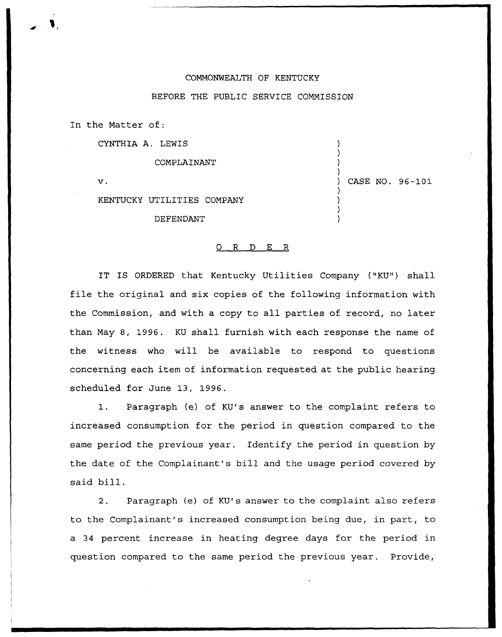# COMMONWEALTH OF KENTUCKY

# BEFORE THE PUBLIC SERVICE COMMISSION

In the Matter of:

CYNTHIA A. LEWIS

COMPLAINANT

 $\mathbf{v}$ .

) CASE NO. 96-1Q1

) ) ) )

) ) ) )

KENTUCKY UTILITIES COMPANY

DEFENDANT

### 0 R <sup>D</sup> E <sup>R</sup>

IT IS ORDERED that Kentucky Utilities Company ("KU") shall file the original and six copies of the following information with the Commission, and with a copy to all parties of record, no later than May 8, 1996. KU shall furnish with each response the name of the witness who will be available to respond to questions concerning each item of information requested at the public hearing scheduled for June 13, 1996.

1. Paragraph {e) of KU's answer to the complaint refers to increased consumption for the period in question compared to the same period the previous year. Identify the period in question by the date of the Complainant's bill and the usage period covered by said bill.

2. Paragraph (e) of KU's answer to the complaint also refers to the Complainant's increased consumption being due, in part, to a 34 percent increase in heating degree days for the period in question compared to the same period the previous year. Provide,